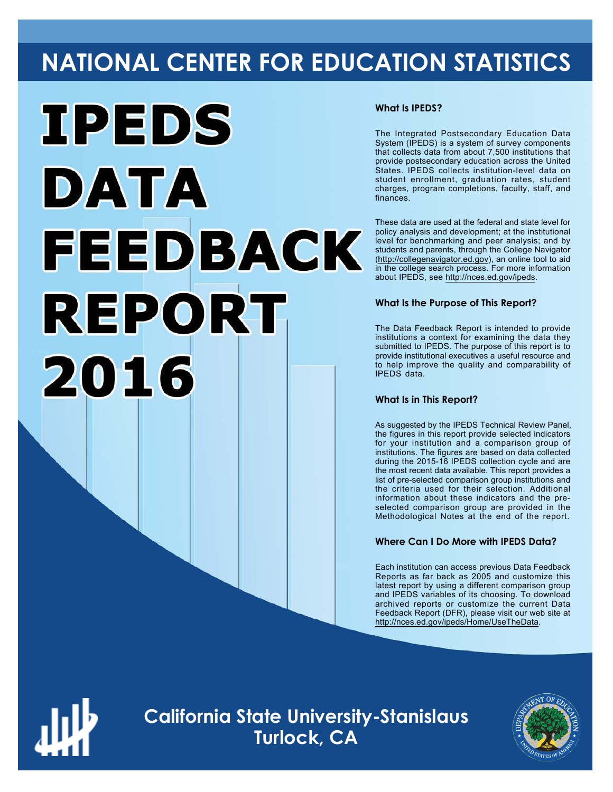## **NATIONAL CENTER FOR EDUCATION STATISTICS**



#### **What Is IPEDS?**

The Integrated Postsecondary Education Data System (IPEDS) is a system of survey components that collects data from about 7,500 institutions that provide postsecondary education across the United States. IPEDS collects institution-level data on student enrollment, graduation rates, student charges, program completions, faculty, staff, and finances.

These data are used at the federal and state level for policy analysis and development; at the institutional level for benchmarking and peer analysis; and by students and parents, through the College Navigator (<http://collegenavigator.ed.gov>), an online tool to aid in the college search process. For more information about IPEDS, see [http://nces.ed.gov/ipeds.](http://nces.ed.gov/ipeds)

#### **What Is the Purpose of This Report?**

The Data Feedback Report is intended to provide institutions a context for examining the data they submitted to IPEDS. The purpose of this report is to provide institutional executives a useful resource and to help improve the quality and comparability of IPEDS data.

#### **What Is in This Report?**

As suggested by the IPEDS Technical Review Panel, the figures in this report provide selected indicators for your institution and a comparison group of institutions. The figures are based on data collected during the 2015-16 IPEDS collection cycle and are the most recent data available. This report provides a list of pre-selected comparison group institutions and the criteria used for their selection. Additional information about these indicators and the preselected comparison group are provided in the Methodological Notes at the end of the report.

#### **Where Can I Do More with IPEDS Data?**

Each institution can access previous Data Feedback Reports as far back as 2005 and customize this latest report by using a different comparison group and IPEDS variables of its choosing. To download archived reports or customize the current Data Feedback Report (DFR), please visit our web site at <http://nces.ed.gov/ipeds/Home/UseTheData>.



**California State University-Stanislaus Turlock, CA**

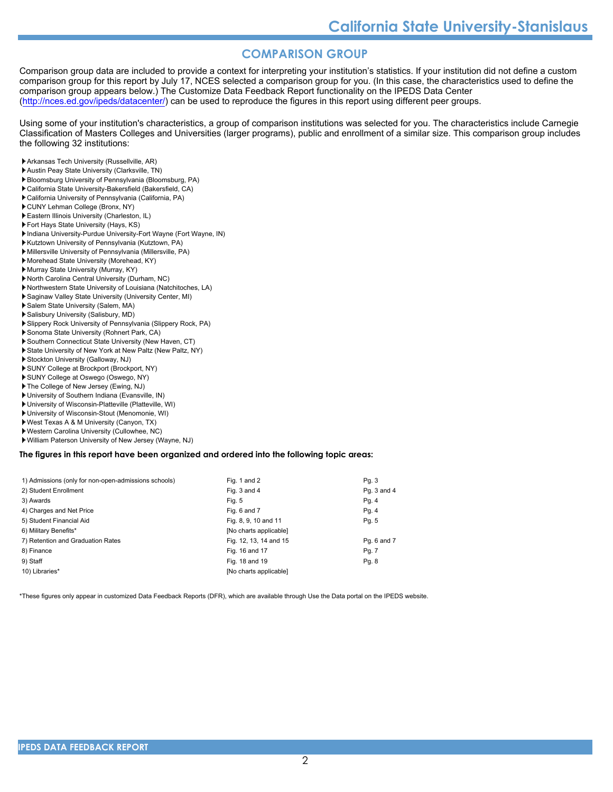#### **COMPARISON GROUP**

Comparison group data are included to provide a context for interpreting your institution's statistics. If your institution did not define a custom comparison group for this report by July 17, NCES selected a comparison group for you. (In this case, the characteristics used to define the comparison group appears below.) The Customize Data Feedback Report functionality on the IPEDS Data Center [\(http://nces.ed.gov/ipeds/datacenter/\)](http://nces.ed.gov/ipeds/datacenter/) can be used to reproduce the figures in this report using different peer groups.

Using some of your institution's characteristics, a group of comparison institutions was selected for you. The characteristics include Carnegie Classification of Masters Colleges and Universities (larger programs), public and enrollment of a similar size. This comparison group includes the following 32 institutions:

- Arkansas Tech University (Russellville, AR)
- Austin Peay State University (Clarksville, TN)
- Bloomsburg University of Pennsylvania (Bloomsburg, PA)
- California State University-Bakersfield (Bakersfield, CA) California University of Pennsylvania (California, PA)
- CUNY Lehman College (Bronx, NY)
- 
- Eastern Illinois University (Charleston, IL) Fort Hays State University (Hays, KS)
- Indiana University-Purdue University-Fort Wayne (Fort Wayne, IN)
- Kutztown University of Pennsylvania (Kutztown, PA)
- Millersville University of Pennsylvania (Millersville, PA)
- Morehead State University (Morehead, KY)
- Murray State University (Murray, KY)
- North Carolina Central University (Durham, NC)
- Northwestern State University of Louisiana (Natchitoches, LA)
- Saginaw Valley State University (University Center, MI)
- Salem State University (Salem, MA)
- Salisbury University (Salisbury, MD)
- Slippery Rock University of Pennsylvania (Slippery Rock, PA)
- Sonoma State University (Rohnert Park, CA)
- Southern Connecticut State University (New Haven, CT)
- State University of New York at New Paltz (New Paltz, NY)
- Stockton University (Galloway, NJ)
- SUNY College at Brockport (Brockport, NY)
- SUNY College at Oswego (Oswego, NY)
- The College of New Jersey (Ewing, NJ)
- University of Southern Indiana (Evansville, IN)
- University of Wisconsin-Platteville (Platteville, WI)
- University of Wisconsin-Stout (Menomonie, WI)
- West Texas A & M University (Canyon, TX)
- Western Carolina University (Cullowhee, NC) William Paterson University of New Jersey (Wayne, NJ)

#### **The figures in this report have been organized and ordered into the following topic areas:**

| 1) Admissions (only for non-open-admissions schools) | Fig. 1 and 2           | Pg. 3       |
|------------------------------------------------------|------------------------|-------------|
| 2) Student Enrollment                                | Fig. 3 and 4           | Pg. 3 and 4 |
| 3) Awards                                            | Fig. 5                 | Pg. 4       |
| 4) Charges and Net Price                             | Fig. 6 and 7           | Pg. 4       |
| 5) Student Financial Aid                             | Fig. 8, 9, 10 and 11   | Pg. 5       |
| 6) Military Benefits*                                | [No charts applicable] |             |
| 7) Retention and Graduation Rates                    | Fig. 12, 13, 14 and 15 | Pg. 6 and 7 |
| 8) Finance                                           | Fig. 16 and 17         | Pg. 7       |
| 9) Staff                                             | Fig. 18 and 19         | Pg. 8       |
| 10) Libraries*                                       | [No charts applicable] |             |
|                                                      |                        |             |

\*These figures only appear in customized Data Feedback Reports (DFR), which are available through Use the Data portal on the IPEDS website.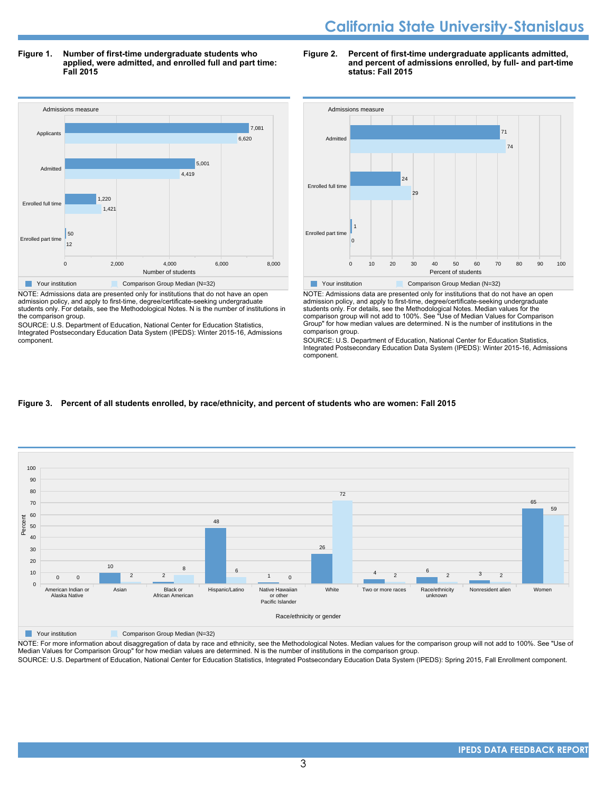**Figure 1. Number of first-time undergraduate students who applied, were admitted, and enrolled full and part time: Fall 2015**

#### **Figure 2. Percent of first-time undergraduate applicants admitted, and percent of admissions enrolled, by full- and part-time status: Fall 2015**



NOTE: Admissions data are presented only for institutions that do not have an open admission policy, and apply to first-time, degree/certificate-seeking undergraduate students only. For details, see the Methodological Notes. N is the number of institutions in the comparison group.

SOURCE: U.S. Department of Education, National Center for Education Statistics, Integrated Postsecondary Education Data System (IPEDS): Winter 2015-16, Admissions component.



NOTE: Admissions data are presented only for institutions that do not have an open admission policy, and apply to first-time, degree/certificate-seeking undergraduate students only. For details, see the Methodological Notes. Median values for the comparison group will not add to 100%. See "Use of Median Values for Comparison Group" for how median values are determined. N is the number of institutions in the comparison group.

SOURCE: U.S. Department of Education, National Center for Education Statistics, Integrated Postsecondary Education Data System (IPEDS): Winter 2015-16, Admissions component.

#### **Figure 3. Percent of all students enrolled, by race/ethnicity, and percent of students who are women: Fall 2015**



NOTE: For more information about disaggregation of data by race and ethnicity, see the Methodological Notes. Median values for the comparison group will not add to 100%. See "Use of Median Values for Comparison Group" for how median values are determined. N is the number of institutions in the comparison group. SOURCE: U.S. Department of Education, National Center for Education Statistics, Integrated Postsecondary Education Data System (IPEDS): Spring 2015, Fall Enrollment component.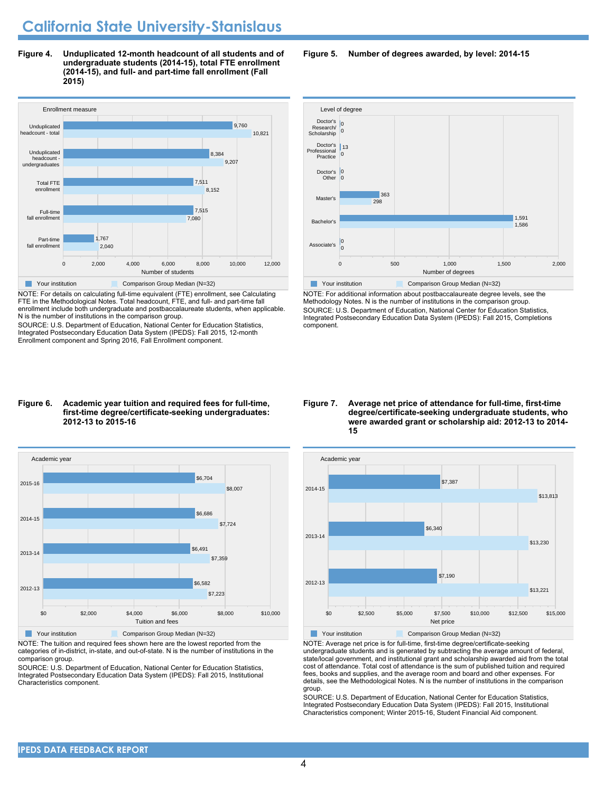**Figure 4. Unduplicated 12-month headcount of all students and of undergraduate students (2014-15), total FTE enrollment (2014-15), and full- and part-time fall enrollment (Fall 2015)**



NOTE: For details on calculating full-time equivalent (FTE) enrollment, see Calculating FTE in the Methodological Notes. Total headcount, FTE, and full- and part-time fall enrollment include both undergraduate and postbaccalaureate students, when applicable. N is the number of institutions in the comparison group.

SOURCE: U.S. Department of Education, National Center for Education Statistics, Integrated Postsecondary Education Data System (IPEDS): Fall 2015, 12-month Enrollment component and Spring 2016, Fall Enrollment component.

#### **Figure 6. Academic year tuition and required fees for full-time, first-time degree/certificate-seeking undergraduates: 2012-13 to 2015-16**



NOTE: The tuition and required fees shown here are the lowest reported from the categories of in-district, in-state, and out-of-state. N is the number of institutions in the comparison group.

SOURCE: U.S. Department of Education, National Center for Education Statistics, Integrated Postsecondary Education Data System (IPEDS): Fall 2015, Institutional Characteristics component.

**Figure 5. Number of degrees awarded, by level: 2014-15**



NOTE: For additional information about postbaccalaureate degree levels, see the Methodology Notes. N is the number of institutions in the comparison group. SOURCE: U.S. Department of Education, National Center for Education Statistics, Integrated Postsecondary Education Data System (IPEDS): Fall 2015, Completions component.

**Figure 7. Average net price of attendance for full-time, first-time degree/certificate-seeking undergraduate students, who were awarded grant or scholarship aid: 2012-13 to 2014- 15**



NOTE: Average net price is for full-time, first-time degree/certificate-seeking undergraduate students and is generated by subtracting the average amount of federal, state/local government, and institutional grant and scholarship awarded aid from the total cost of attendance. Total cost of attendance is the sum of published tuition and required fees, books and supplies, and the average room and board and other expenses. For details, see the Methodological Notes. N is the number of institutions in the comparison group.

SOURCE: U.S. Department of Education, National Center for Education Statistics, Integrated Postsecondary Education Data System (IPEDS): Fall 2015, Institutional Characteristics component; Winter 2015-16, Student Financial Aid component.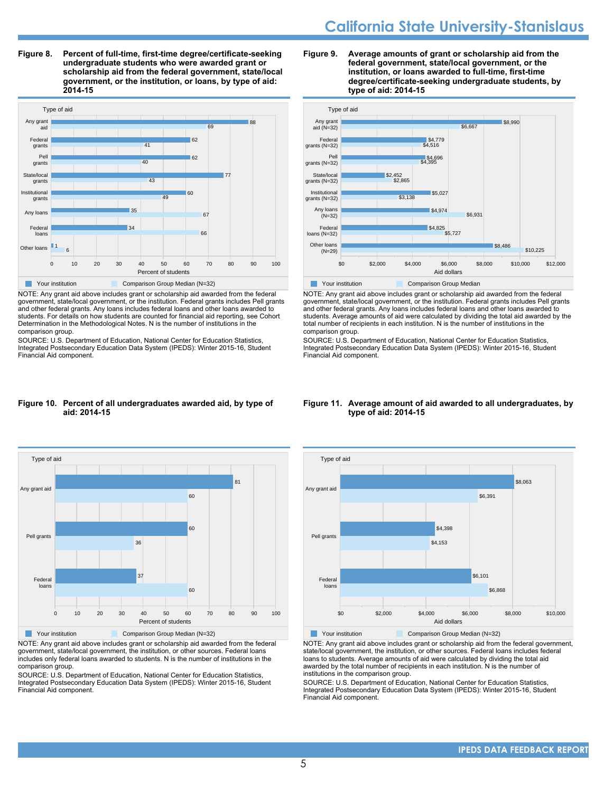**Figure 8. Percent of full-time, first-time degree/certificate-seeking undergraduate students who were awarded grant or scholarship aid from the federal government, state/local government, or the institution, or loans, by type of aid: 2014-15**



NOTE: Any grant aid above includes grant or scholarship aid awarded from the federal government, state/local government, or the institution. Federal grants includes Pell grants and other federal grants. Any loans includes federal loans and other loans awarded to students. For details on how students are counted for financial aid reporting, see Cohort Determination in the Methodological Notes. N is the number of institutions in the comparison group.

SOURCE: U.S. Department of Education, National Center for Education Statistics, Integrated Postsecondary Education Data System (IPEDS): Winter 2015-16, Student Financial Aid component.

#### **Figure 9. Average amounts of grant or scholarship aid from the federal government, state/local government, or the institution, or loans awarded to full-time, first-time degree/certificate-seeking undergraduate students, by type of aid: 2014-15**



NOTE: Any grant aid above includes grant or scholarship aid awarded from the federal government, state/local government, or the institution. Federal grants includes Pell grants and other federal grants. Any loans includes federal loans and other loans awarded to students. Average amounts of aid were calculated by dividing the total aid awarded by the total number of recipients in each institution. N is the number of institutions in the comparison group.

SOURCE: U.S. Department of Education, National Center for Education Statistics, Integrated Postsecondary Education Data System (IPEDS): Winter 2015-16, Student Financial Aid component.

#### **Figure 10. Percent of all undergraduates awarded aid, by type of aid: 2014-15**



NOTE: Any grant aid above includes grant or scholarship aid awarded from the federal government, state/local government, the institution, or other sources. Federal loans includes only federal loans awarded to students. N is the number of institutions in the comparison group.

SOURCE: U.S. Department of Education, National Center for Education Statistics, Integrated Postsecondary Education Data System (IPEDS): Winter 2015-16, Student Financial Aid component.

#### **Figure 11. Average amount of aid awarded to all undergraduates, by type of aid: 2014-15**



NOTE: Any grant aid above includes grant or scholarship aid from the federal government, state/local government, the institution, or other sources. Federal loans includes federal loans to students. Average amounts of aid were calculated by dividing the total aid awarded by the total number of recipients in each institution. N is the number of institutions in the comparison group.

SOURCE: U.S. Department of Education, National Center for Education Statistics, Integrated Postsecondary Education Data System (IPEDS): Winter 2015-16, Student Financial Aid component.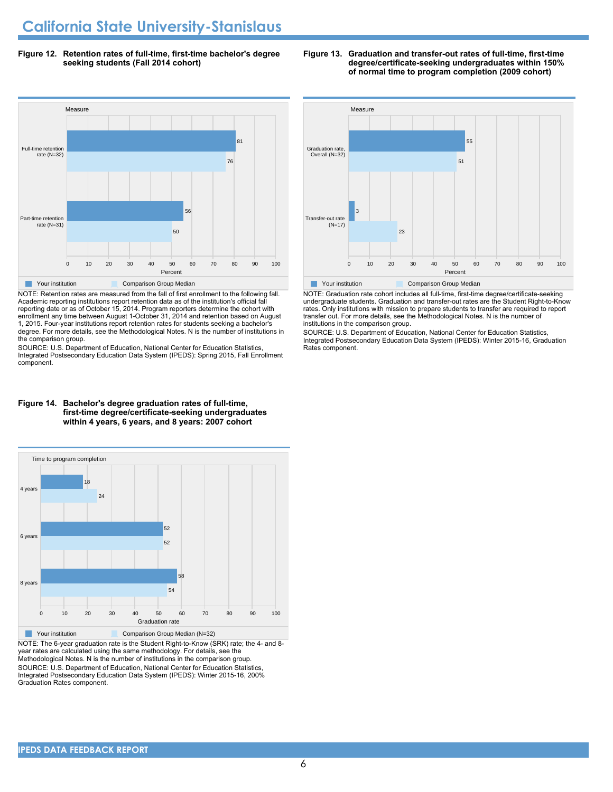**Figure 12. Retention rates of full-time, first-time bachelor's degree seeking students (Fall 2014 cohort)**



NOTE: Retention rates are measured from the fall of first enrollment to the following fall. Academic reporting institutions report retention data as of the institution's official fall reporting date or as of October 15, 2014. Program reporters determine the cohort with enrollment any time between August 1-October 31, 2014 and retention based on August 1, 2015. Four-year institutions report retention rates for students seeking a bachelor's degree. For more details, see the Methodological Notes. N is the number of institutions in the comparison group.

SOURCE: U.S. Department of Education, National Center for Education Statistics, Integrated Postsecondary Education Data System (IPEDS): Spring 2015, Fall Enrollment component.



**The Your institution Comparison Group Median** 

NOTE: Graduation rate cohort includes all full-time, first-time degree/certificate-seeking undergraduate students. Graduation and transfer-out rates are the Student Right-to-Know rates. Only institutions with mission to prepare students to transfer are required to report transfer out. For more details, see the Methodological Notes. N is the number of institutions in the comparison group.

SOURCE: U.S. Department of Education, National Center for Education Statistics, Integrated Postsecondary Education Data System (IPEDS): Winter 2015-16, Graduation Rates component.

#### **first-time degree/certificate-seeking undergraduates within 4 years, 6 years, and 8 years: 2007 cohort**



NOTE: The 6-year graduation rate is the Student Right-to-Know (SRK) rate; the 4- and 8 year rates are calculated using the same methodology. For details, see the Methodological Notes. N is the number of institutions in the comparison group. SOURCE: U.S. Department of Education, National Center for Education Statistics, Integrated Postsecondary Education Data System (IPEDS): Winter 2015-16, 200% Graduation Rates component.

# **Figure 14. Bachelor's degree graduation rates of full-time,**

#### **Figure 13. Graduation and transfer-out rates of full-time, first-time degree/certificate-seeking undergraduates within 150% of normal time to program completion (2009 cohort)**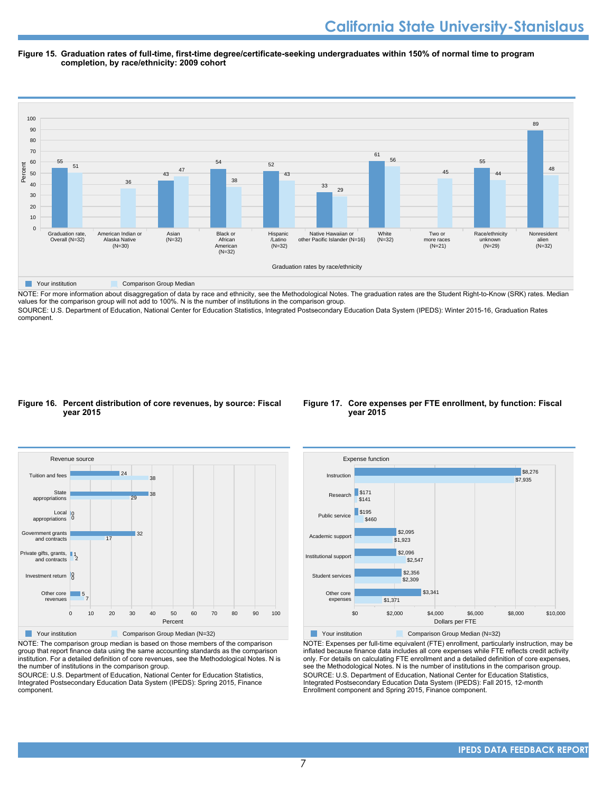#### **Figure 15. Graduation rates of full-time, first-time degree/certificate-seeking undergraduates within 150% of normal time to program completion, by race/ethnicity: 2009 cohort**



NOTE: For more information about disaggregation of data by race and ethnicity, see the Methodological Notes. The graduation rates are the Student Right-to-Know (SRK) rates. Median values for the comparison group will not add to 100%. N is the number of institutions in the comparison group.

SOURCE: U.S. Department of Education, National Center for Education Statistics, Integrated Postsecondary Education Data System (IPEDS): Winter 2015-16, Graduation Rates component.

#### **Figure 16. Percent distribution of core revenues, by source: Fiscal year 2015**



NOTE: The comparison group median is based on those members of the comparison group that report finance data using the same accounting standards as the comparison institution. For a detailed definition of core revenues, see the Methodological Notes. N is the number of institutions in the comparison group.

SOURCE: U.S. Department of Education, National Center for Education Statistics, Integrated Postsecondary Education Data System (IPEDS): Spring 2015, Finance component.

#### **Figure 17. Core expenses per FTE enrollment, by function: Fiscal year 2015**



Your institution Comparison Group Median (N=32)

NOTE: Expenses per full-time equivalent (FTE) enrollment, particularly instruction, may be inflated because finance data includes all core expenses while FTE reflects credit activity only. For details on calculating FTE enrollment and a detailed definition of core expenses, see the Methodological Notes. N is the number of institutions in the comparison group. SOURCE: U.S. Department of Education, National Center for Education Statistics, Integrated Postsecondary Education Data System (IPEDS): Fall 2015, 12-month Enrollment component and Spring 2015, Finance component.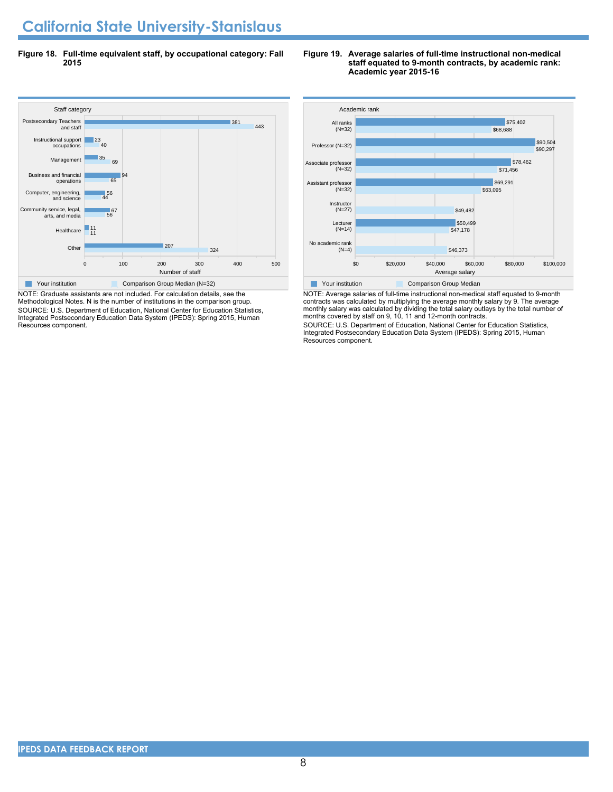**Figure 18. Full-time equivalent staff, by occupational category: Fall 2015**



NOTE: Graduate assistants are not included. For calculation details, see the Methodological Notes. N is the number of institutions in the comparison group. SOURCE: U.S. Department of Education, National Center for Education Statistics, Integrated Postsecondary Education Data System (IPEDS): Spring 2015, Human Resources component.

#### **Figure 19. Average salaries of full-time instructional non-medical staff equated to 9-month contracts, by academic rank: Academic year 2015-16**



NOTE: Average salaries of full-time instructional non-medical staff equated to 9-month contracts was calculated by multiplying the average monthly salary by 9. The average monthly salary was calculated by dividing the total salary outlays by the total number of months covered by staff on 9, 10, 11 and 12-month contracts.

SOURCE: U.S. Department of Education, National Center for Education Statistics, Integrated Postsecondary Education Data System (IPEDS): Spring 2015, Human Resources component.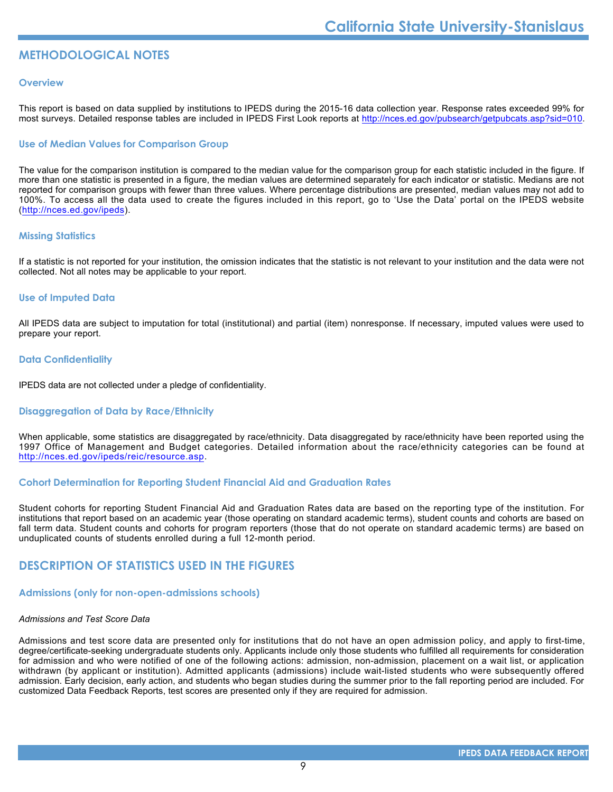#### **METHODOLOGICAL NOTES**

#### **Overview**

This report is based on data supplied by institutions to IPEDS during the 2015-16 data collection year. Response rates exceeded 99% for most surveys. Detailed response tables are included in IPEDS First Look reports at [http://nces.ed.gov/pubsearch/getpubcats.asp?sid=010.](http://nces.ed.gov/pubsearch/getpubcats.asp?sid=010)

#### **Use of Median Values for Comparison Group**

The value for the comparison institution is compared to the median value for the comparison group for each statistic included in the figure. If more than one statistic is presented in a figure, the median values are determined separately for each indicator or statistic. Medians are not reported for comparison groups with fewer than three values. Where percentage distributions are presented, median values may not add to 100%. To access all the data used to create the figures included in this report, go to 'Use the Data' portal on the IPEDS website (<http://nces.ed.gov/ipeds>).

#### **Missing Statistics**

If a statistic is not reported for your institution, the omission indicates that the statistic is not relevant to your institution and the data were not collected. Not all notes may be applicable to your report.

#### **Use of Imputed Data**

All IPEDS data are subject to imputation for total (institutional) and partial (item) nonresponse. If necessary, imputed values were used to prepare your report.

#### **Data Confidentiality**

IPEDS data are not collected under a pledge of confidentiality.

#### **Disaggregation of Data by Race/Ethnicity**

When applicable, some statistics are disaggregated by race/ethnicity. Data disaggregated by race/ethnicity have been reported using the 1997 Office of Management and Budget categories. Detailed information about the race/ethnicity categories can be found at <http://nces.ed.gov/ipeds/reic/resource.asp>.

#### **Cohort Determination for Reporting Student Financial Aid and Graduation Rates**

Student cohorts for reporting Student Financial Aid and Graduation Rates data are based on the reporting type of the institution. For institutions that report based on an academic year (those operating on standard academic terms), student counts and cohorts are based on fall term data. Student counts and cohorts for program reporters (those that do not operate on standard academic terms) are based on unduplicated counts of students enrolled during a full 12-month period.

#### **DESCRIPTION OF STATISTICS USED IN THE FIGURES**

#### **Admissions (only for non-open-admissions schools)**

#### *Admissions and Test Score Data*

Admissions and test score data are presented only for institutions that do not have an open admission policy, and apply to first-time, degree/certificate-seeking undergraduate students only. Applicants include only those students who fulfilled all requirements for consideration for admission and who were notified of one of the following actions: admission, non-admission, placement on a wait list, or application withdrawn (by applicant or institution). Admitted applicants (admissions) include wait-listed students who were subsequently offered admission. Early decision, early action, and students who began studies during the summer prior to the fall reporting period are included. For customized Data Feedback Reports, test scores are presented only if they are required for admission.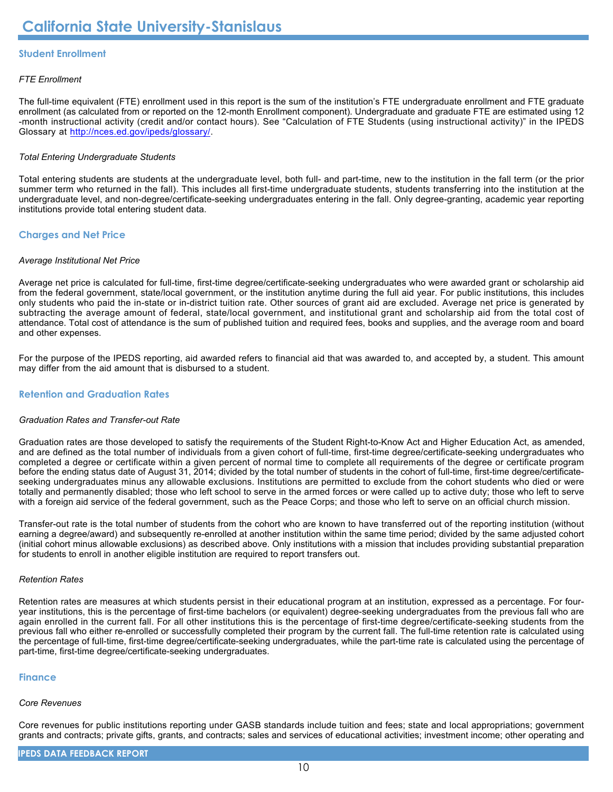#### **Student Enrollment**

#### *FTE Enrollment*

The full-time equivalent (FTE) enrollment used in this report is the sum of the institution's FTE undergraduate enrollment and FTE graduate enrollment (as calculated from or reported on the 12-month Enrollment component). Undergraduate and graduate FTE are estimated using 12 -month instructional activity (credit and/or contact hours). See "Calculation of FTE Students (using instructional activity)" in the IPEDS Glossary at <http://nces.ed.gov/ipeds/glossary/>.

#### *Total Entering Undergraduate Students*

Total entering students are students at the undergraduate level, both full- and part-time, new to the institution in the fall term (or the prior summer term who returned in the fall). This includes all first-time undergraduate students, students transferring into the institution at the undergraduate level, and non-degree/certificate-seeking undergraduates entering in the fall. Only degree-granting, academic year reporting institutions provide total entering student data.

#### **Charges and Net Price**

#### *Average Institutional Net Price*

Average net price is calculated for full-time, first-time degree/certificate-seeking undergraduates who were awarded grant or scholarship aid from the federal government, state/local government, or the institution anytime during the full aid year. For public institutions, this includes only students who paid the in-state or in-district tuition rate. Other sources of grant aid are excluded. Average net price is generated by subtracting the average amount of federal, state/local government, and institutional grant and scholarship aid from the total cost of attendance. Total cost of attendance is the sum of published tuition and required fees, books and supplies, and the average room and board and other expenses.

For the purpose of the IPEDS reporting, aid awarded refers to financial aid that was awarded to, and accepted by, a student. This amount may differ from the aid amount that is disbursed to a student.

#### **Retention and Graduation Rates**

#### *Graduation Rates and Transfer-out Rate*

Graduation rates are those developed to satisfy the requirements of the Student Right-to-Know Act and Higher Education Act, as amended, and are defined as the total number of individuals from a given cohort of full-time, first-time degree/certificate-seeking undergraduates who completed a degree or certificate within a given percent of normal time to complete all requirements of the degree or certificate program before the ending status date of August 31, 2014; divided by the total number of students in the cohort of full-time, first-time degree/certificateseeking undergraduates minus any allowable exclusions. Institutions are permitted to exclude from the cohort students who died or were totally and permanently disabled; those who left school to serve in the armed forces or were called up to active duty; those who left to serve with a foreign aid service of the federal government, such as the Peace Corps; and those who left to serve on an official church mission.

Transfer-out rate is the total number of students from the cohort who are known to have transferred out of the reporting institution (without earning a degree/award) and subsequently re-enrolled at another institution within the same time period; divided by the same adjusted cohort (initial cohort minus allowable exclusions) as described above. Only institutions with a mission that includes providing substantial preparation for students to enroll in another eligible institution are required to report transfers out.

#### *Retention Rates*

Retention rates are measures at which students persist in their educational program at an institution, expressed as a percentage. For fouryear institutions, this is the percentage of first-time bachelors (or equivalent) degree-seeking undergraduates from the previous fall who are again enrolled in the current fall. For all other institutions this is the percentage of first-time degree/certificate-seeking students from the previous fall who either re-enrolled or successfully completed their program by the current fall. The full-time retention rate is calculated using the percentage of full-time, first-time degree/certificate-seeking undergraduates, while the part-time rate is calculated using the percentage of part-time, first-time degree/certificate-seeking undergraduates.

#### **Finance**

#### *Core Revenues*

Core revenues for public institutions reporting under GASB standards include tuition and fees; state and local appropriations; government grants and contracts; private gifts, grants, and contracts; sales and services of educational activities; investment income; other operating and